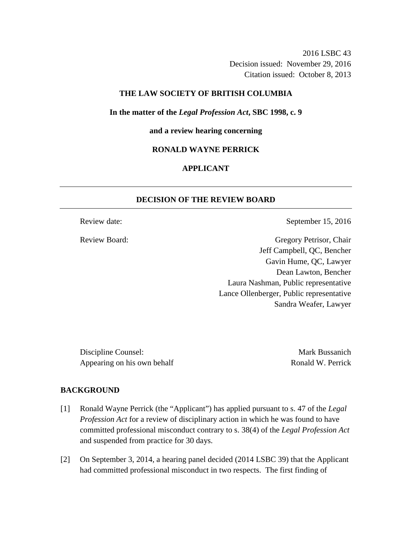2016 LSBC 43 Decision issued: November 29, 2016 Citation issued: October 8, 2013

## **THE LAW SOCIETY OF BRITISH COLUMBIA**

**In the matter of the** *Legal Profession Act***, SBC 1998, c. 9** 

**and a review hearing concerning** 

#### **RONALD WAYNE PERRICK**

# **APPLICANT**

## **DECISION OF THE REVIEW BOARD**

Review date: September 15, 2016

Review Board: Gregory Petrisor, Chair Jeff Campbell, QC, Bencher Gavin Hume, QC, Lawyer Dean Lawton, Bencher Laura Nashman, Public representative Lance Ollenberger, Public representative Sandra Weafer, Lawyer

Discipline Counsel: Mark Bussanich Appearing on his own behalf Ronald W. Perrick

#### **BACKGROUND**

- [1] Ronald Wayne Perrick (the "Applicant") has applied pursuant to s. 47 of the *Legal Profession Act* for a review of disciplinary action in which he was found to have committed professional misconduct contrary to s. 38(4) of the *Legal Profession Act* and suspended from practice for 30 days.
- [2] On September 3, 2014, a hearing panel decided (2014 LSBC 39) that the Applicant had committed professional misconduct in two respects. The first finding of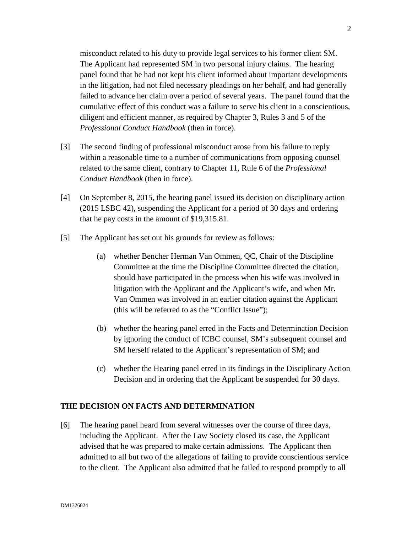misconduct related to his duty to provide legal services to his former client SM. The Applicant had represented SM in two personal injury claims. The hearing panel found that he had not kept his client informed about important developments in the litigation, had not filed necessary pleadings on her behalf, and had generally failed to advance her claim over a period of several years. The panel found that the cumulative effect of this conduct was a failure to serve his client in a conscientious, diligent and efficient manner, as required by Chapter 3, Rules 3 and 5 of the *Professional Conduct Handbook* (then in force).

- [3] The second finding of professional misconduct arose from his failure to reply within a reasonable time to a number of communications from opposing counsel related to the same client, contrary to Chapter 11, Rule 6 of the *Professional Conduct Handbook* (then in force).
- [4] On September 8, 2015, the hearing panel issued its decision on disciplinary action (2015 LSBC 42), suspending the Applicant for a period of 30 days and ordering that he pay costs in the amount of \$19,315.81.
- [5] The Applicant has set out his grounds for review as follows:
	- (a) whether Bencher Herman Van Ommen, QC, Chair of the Discipline Committee at the time the Discipline Committee directed the citation, should have participated in the process when his wife was involved in litigation with the Applicant and the Applicant's wife, and when Mr. Van Ommen was involved in an earlier citation against the Applicant (this will be referred to as the "Conflict Issue");
	- (b) whether the hearing panel erred in the Facts and Determination Decision by ignoring the conduct of ICBC counsel, SM's subsequent counsel and SM herself related to the Applicant's representation of SM; and
	- (c) whether the Hearing panel erred in its findings in the Disciplinary Action Decision and in ordering that the Applicant be suspended for 30 days.

#### **THE DECISION ON FACTS AND DETERMINATION**

[6] The hearing panel heard from several witnesses over the course of three days, including the Applicant. After the Law Society closed its case, the Applicant advised that he was prepared to make certain admissions. The Applicant then admitted to all but two of the allegations of failing to provide conscientious service to the client. The Applicant also admitted that he failed to respond promptly to all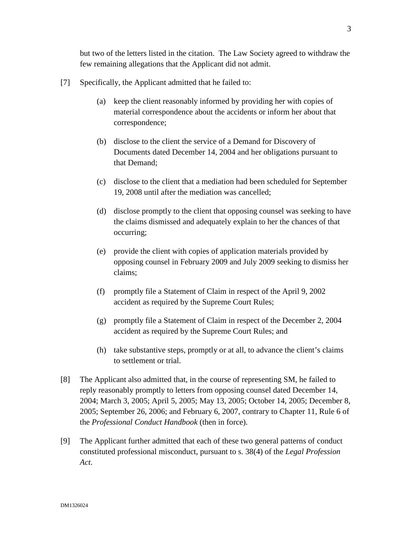but two of the letters listed in the citation. The Law Society agreed to withdraw the few remaining allegations that the Applicant did not admit.

- [7] Specifically, the Applicant admitted that he failed to:
	- (a) keep the client reasonably informed by providing her with copies of material correspondence about the accidents or inform her about that correspondence;
	- (b) disclose to the client the service of a Demand for Discovery of Documents dated December 14, 2004 and her obligations pursuant to that Demand;
	- (c) disclose to the client that a mediation had been scheduled for September 19, 2008 until after the mediation was cancelled;
	- (d) disclose promptly to the client that opposing counsel was seeking to have the claims dismissed and adequately explain to her the chances of that occurring;
	- (e) provide the client with copies of application materials provided by opposing counsel in February 2009 and July 2009 seeking to dismiss her claims;
	- (f) promptly file a Statement of Claim in respect of the April 9, 2002 accident as required by the Supreme Court Rules;
	- (g) promptly file a Statement of Claim in respect of the December 2, 2004 accident as required by the Supreme Court Rules; and
	- (h) take substantive steps, promptly or at all, to advance the client's claims to settlement or trial.
- [8] The Applicant also admitted that, in the course of representing SM, he failed to reply reasonably promptly to letters from opposing counsel dated December 14, 2004; March 3, 2005; April 5, 2005; May 13, 2005; October 14, 2005; December 8, 2005; September 26, 2006; and February 6, 2007, contrary to Chapter 11, Rule 6 of the *Professional Conduct Handbook* (then in force).
- [9] The Applicant further admitted that each of these two general patterns of conduct constituted professional misconduct, pursuant to s. 38(4) of the *Legal Profession Act*.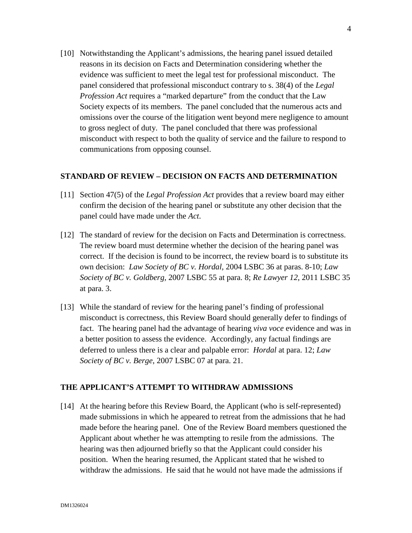[10] Notwithstanding the Applicant's admissions, the hearing panel issued detailed reasons in its decision on Facts and Determination considering whether the evidence was sufficient to meet the legal test for professional misconduct. The panel considered that professional misconduct contrary to s. 38(4) of the *Legal Profession Act* requires a "marked departure" from the conduct that the Law Society expects of its members. The panel concluded that the numerous acts and omissions over the course of the litigation went beyond mere negligence to amount to gross neglect of duty. The panel concluded that there was professional misconduct with respect to both the quality of service and the failure to respond to communications from opposing counsel.

#### **STANDARD OF REVIEW – DECISION ON FACTS AND DETERMINATION**

- [11] Section 47(5) of the *Legal Profession Act* provides that a review board may either confirm the decision of the hearing panel or substitute any other decision that the panel could have made under the *Act*.
- [12] The standard of review for the decision on Facts and Determination is correctness. The review board must determine whether the decision of the hearing panel was correct. If the decision is found to be incorrect, the review board is to substitute its own decision: *Law Society of BC v. Hordal,* 2004 LSBC 36 at paras. 8-10; *Law Society of BC v. Goldberg,* 2007 LSBC 55 at para. 8; *Re Lawyer 12*, 2011 LSBC 35 at para. 3.
- [13] While the standard of review for the hearing panel's finding of professional misconduct is correctness, this Review Board should generally defer to findings of fact. The hearing panel had the advantage of hearing *viva voce* evidence and was in a better position to assess the evidence. Accordingly, any factual findings are deferred to unless there is a clear and palpable error: *Hordal* at para. 12; *Law Society of BC v. Berge*, 2007 LSBC 07 at para. 21.

#### **THE APPLICANT'S ATTEMPT TO WITHDRAW ADMISSIONS**

[14] At the hearing before this Review Board, the Applicant (who is self-represented) made submissions in which he appeared to retreat from the admissions that he had made before the hearing panel. One of the Review Board members questioned the Applicant about whether he was attempting to resile from the admissions. The hearing was then adjourned briefly so that the Applicant could consider his position. When the hearing resumed, the Applicant stated that he wished to withdraw the admissions. He said that he would not have made the admissions if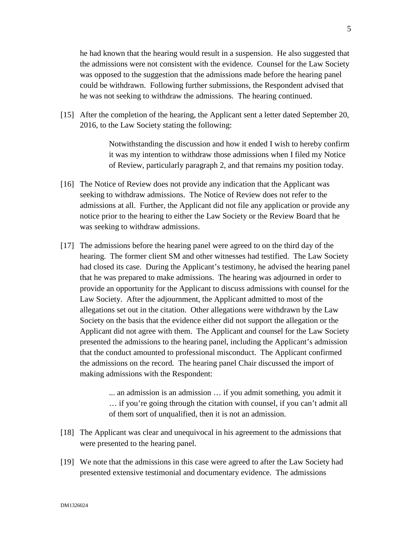he had known that the hearing would result in a suspension. He also suggested that the admissions were not consistent with the evidence. Counsel for the Law Society was opposed to the suggestion that the admissions made before the hearing panel could be withdrawn. Following further submissions, the Respondent advised that he was not seeking to withdraw the admissions. The hearing continued.

[15] After the completion of the hearing, the Applicant sent a letter dated September 20, 2016, to the Law Society stating the following:

> Notwithstanding the discussion and how it ended I wish to hereby confirm it was my intention to withdraw those admissions when I filed my Notice of Review, particularly paragraph 2, and that remains my position today.

- [16] The Notice of Review does not provide any indication that the Applicant was seeking to withdraw admissions. The Notice of Review does not refer to the admissions at all. Further, the Applicant did not file any application or provide any notice prior to the hearing to either the Law Society or the Review Board that he was seeking to withdraw admissions.
- [17] The admissions before the hearing panel were agreed to on the third day of the hearing. The former client SM and other witnesses had testified. The Law Society had closed its case. During the Applicant's testimony, he advised the hearing panel that he was prepared to make admissions. The hearing was adjourned in order to provide an opportunity for the Applicant to discuss admissions with counsel for the Law Society. After the adjournment, the Applicant admitted to most of the allegations set out in the citation. Other allegations were withdrawn by the Law Society on the basis that the evidence either did not support the allegation or the Applicant did not agree with them. The Applicant and counsel for the Law Society presented the admissions to the hearing panel, including the Applicant's admission that the conduct amounted to professional misconduct. The Applicant confirmed the admissions on the record. The hearing panel Chair discussed the import of making admissions with the Respondent:

... an admission is an admission … if you admit something, you admit it … if you're going through the citation with counsel, if you can't admit all of them sort of unqualified, then it is not an admission.

- [18] The Applicant was clear and unequivocal in his agreement to the admissions that were presented to the hearing panel.
- [19] We note that the admissions in this case were agreed to after the Law Society had presented extensive testimonial and documentary evidence. The admissions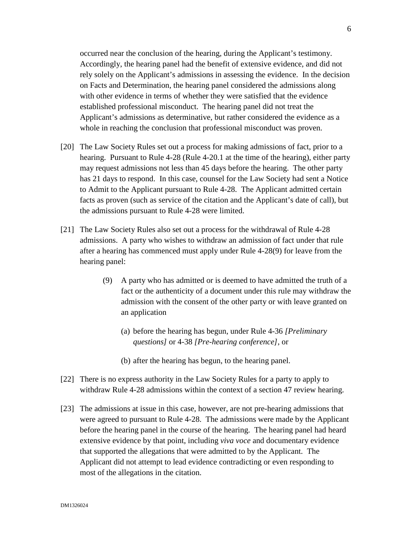occurred near the conclusion of the hearing, during the Applicant's testimony. Accordingly, the hearing panel had the benefit of extensive evidence, and did not rely solely on the Applicant's admissions in assessing the evidence. In the decision on Facts and Determination, the hearing panel considered the admissions along with other evidence in terms of whether they were satisfied that the evidence established professional misconduct. The hearing panel did not treat the Applicant's admissions as determinative, but rather considered the evidence as a whole in reaching the conclusion that professional misconduct was proven.

- [20] The Law Society Rules set out a process for making admissions of fact, prior to a hearing. Pursuant to Rule 4-28 (Rule 4-20.1 at the time of the hearing), either party may request admissions not less than 45 days before the hearing. The other party has 21 days to respond. In this case, counsel for the Law Society had sent a Notice to Admit to the Applicant pursuant to Rule 4-28. The Applicant admitted certain facts as proven (such as service of the citation and the Applicant's date of call), but the admissions pursuant to Rule 4-28 were limited.
- [21] The Law Society Rules also set out a process for the withdrawal of Rule 4-28 admissions. A party who wishes to withdraw an admission of fact under that rule after a hearing has commenced must apply under Rule 4-28(9) for leave from the hearing panel:
	- (9) A party who has admitted or is deemed to have admitted the truth of a fact or the authenticity of a document under this rule may withdraw the admission with the consent of the other party or with leave granted on an application
		- (a) before the hearing has begun, under Rule 4-36 *[Preliminary questions]* or 4-38 *[Pre-hearing conference]*, or
		- (b) after the hearing has begun, to the hearing panel.
- [22] There is no express authority in the Law Society Rules for a party to apply to withdraw Rule 4-28 admissions within the context of a section 47 review hearing.
- [23] The admissions at issue in this case, however, are not pre-hearing admissions that were agreed to pursuant to Rule 4-28. The admissions were made by the Applicant before the hearing panel in the course of the hearing. The hearing panel had heard extensive evidence by that point, including *viva voce* and documentary evidence that supported the allegations that were admitted to by the Applicant. The Applicant did not attempt to lead evidence contradicting or even responding to most of the allegations in the citation.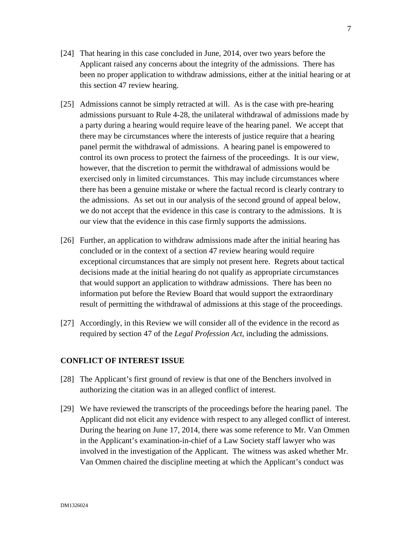- [24] That hearing in this case concluded in June, 2014, over two years before the Applicant raised any concerns about the integrity of the admissions. There has been no proper application to withdraw admissions, either at the initial hearing or at this section 47 review hearing.
- [25] Admissions cannot be simply retracted at will. As is the case with pre-hearing admissions pursuant to Rule 4-28, the unilateral withdrawal of admissions made by a party during a hearing would require leave of the hearing panel. We accept that there may be circumstances where the interests of justice require that a hearing panel permit the withdrawal of admissions. A hearing panel is empowered to control its own process to protect the fairness of the proceedings. It is our view, however, that the discretion to permit the withdrawal of admissions would be exercised only in limited circumstances. This may include circumstances where there has been a genuine mistake or where the factual record is clearly contrary to the admissions. As set out in our analysis of the second ground of appeal below, we do not accept that the evidence in this case is contrary to the admissions. It is our view that the evidence in this case firmly supports the admissions.
- [26] Further, an application to withdraw admissions made after the initial hearing has concluded or in the context of a section 47 review hearing would require exceptional circumstances that are simply not present here. Regrets about tactical decisions made at the initial hearing do not qualify as appropriate circumstances that would support an application to withdraw admissions. There has been no information put before the Review Board that would support the extraordinary result of permitting the withdrawal of admissions at this stage of the proceedings.
- [27] Accordingly, in this Review we will consider all of the evidence in the record as required by section 47 of the *Legal Profession Act*, including the admissions.

#### **CONFLICT OF INTEREST ISSUE**

- [28] The Applicant's first ground of review is that one of the Benchers involved in authorizing the citation was in an alleged conflict of interest.
- [29] We have reviewed the transcripts of the proceedings before the hearing panel. The Applicant did not elicit any evidence with respect to any alleged conflict of interest. During the hearing on June 17, 2014, there was some reference to Mr. Van Ommen in the Applicant's examination-in-chief of a Law Society staff lawyer who was involved in the investigation of the Applicant. The witness was asked whether Mr. Van Ommen chaired the discipline meeting at which the Applicant's conduct was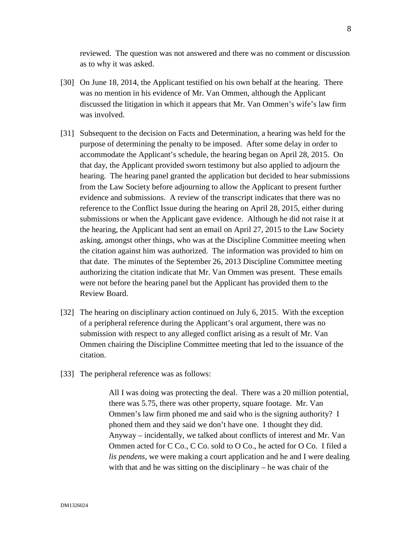reviewed. The question was not answered and there was no comment or discussion as to why it was asked.

- [30] On June 18, 2014, the Applicant testified on his own behalf at the hearing. There was no mention in his evidence of Mr. Van Ommen, although the Applicant discussed the litigation in which it appears that Mr. Van Ommen's wife's law firm was involved.
- [31] Subsequent to the decision on Facts and Determination, a hearing was held for the purpose of determining the penalty to be imposed. After some delay in order to accommodate the Applicant's schedule, the hearing began on April 28, 2015. On that day, the Applicant provided sworn testimony but also applied to adjourn the hearing. The hearing panel granted the application but decided to hear submissions from the Law Society before adjourning to allow the Applicant to present further evidence and submissions. A review of the transcript indicates that there was no reference to the Conflict Issue during the hearing on April 28, 2015, either during submissions or when the Applicant gave evidence. Although he did not raise it at the hearing, the Applicant had sent an email on April 27, 2015 to the Law Society asking, amongst other things, who was at the Discipline Committee meeting when the citation against him was authorized. The information was provided to him on that date. The minutes of the September 26, 2013 Discipline Committee meeting authorizing the citation indicate that Mr. Van Ommen was present. These emails were not before the hearing panel but the Applicant has provided them to the Review Board.
- [32] The hearing on disciplinary action continued on July 6, 2015. With the exception of a peripheral reference during the Applicant's oral argument, there was no submission with respect to any alleged conflict arising as a result of Mr. Van Ommen chairing the Discipline Committee meeting that led to the issuance of the citation.
- [33] The peripheral reference was as follows:

All I was doing was protecting the deal. There was a 20 million potential, there was 5.75, there was other property, square footage. Mr. Van Ommen's law firm phoned me and said who is the signing authority? I phoned them and they said we don't have one. I thought they did. Anyway – incidentally, we talked about conflicts of interest and Mr. Van Ommen acted for C Co., C Co. sold to O Co., he acted for O Co. I filed a *lis pendens*, we were making a court application and he and I were dealing with that and he was sitting on the disciplinary – he was chair of the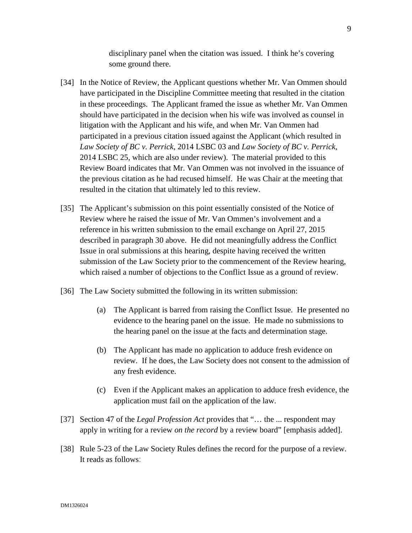disciplinary panel when the citation was issued. I think he's covering some ground there.

- [34] In the Notice of Review, the Applicant questions whether Mr. Van Ommen should have participated in the Discipline Committee meeting that resulted in the citation in these proceedings. The Applicant framed the issue as whether Mr. Van Ommen should have participated in the decision when his wife was involved as counsel in litigation with the Applicant and his wife, and when Mr. Van Ommen had participated in a previous citation issued against the Applicant (which resulted in *Law Society of BC v. Perrick*, 2014 LSBC 03 and *Law Society of BC v. Perrick*, 2014 LSBC 25, which are also under review). The material provided to this Review Board indicates that Mr. Van Ommen was not involved in the issuance of the previous citation as he had recused himself. He was Chair at the meeting that resulted in the citation that ultimately led to this review.
- [35] The Applicant's submission on this point essentially consisted of the Notice of Review where he raised the issue of Mr. Van Ommen's involvement and a reference in his written submission to the email exchange on April 27, 2015 described in paragraph 30 above. He did not meaningfully address the Conflict Issue in oral submissions at this hearing, despite having received the written submission of the Law Society prior to the commencement of the Review hearing, which raised a number of objections to the Conflict Issue as a ground of review.
- [36] The Law Society submitted the following in its written submission:
	- (a) The Applicant is barred from raising the Conflict Issue. He presented no evidence to the hearing panel on the issue. He made no submissions to the hearing panel on the issue at the facts and determination stage.
	- (b) The Applicant has made no application to adduce fresh evidence on review. If he does, the Law Society does not consent to the admission of any fresh evidence.
	- (c) Even if the Applicant makes an application to adduce fresh evidence, the application must fail on the application of the law.
- [37] Section 47 of the *Legal Profession Act* provides that "… the ... respondent may apply in writing for a review *on the record* by a review board" [emphasis added].
- [38] Rule 5-23 of the Law Society Rules defines the record for the purpose of a review. It reads as follows: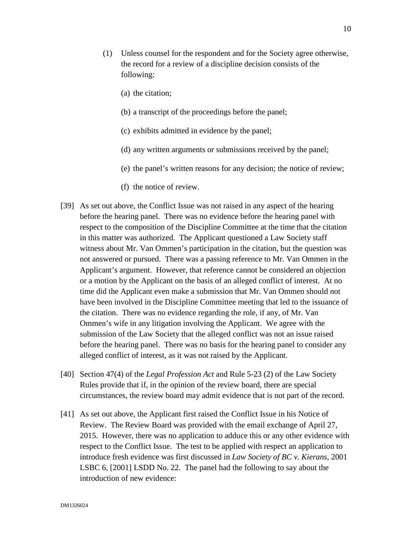- (a) the citation;
- (b) a transcript of the proceedings before the panel;
- (c) exhibits admitted in evidence by the panel;
- (d) any written arguments or submissions received by the panel;
- (e) the panel's written reasons for any decision; the notice of review;
- (f) the notice of review.
- [39] As set out above, the Conflict Issue was not raised in any aspect of the hearing before the hearing panel. There was no evidence before the hearing panel with respect to the composition of the Discipline Committee at the time that the citation in this matter was authorized. The Applicant questioned a Law Society staff witness about Mr. Van Ommen's participation in the citation, but the question was not answered or pursued. There was a passing reference to Mr. Van Ommen in the Applicant's argument. However, that reference cannot be considered an objection or a motion by the Applicant on the basis of an alleged conflict of interest. At no time did the Applicant even make a submission that Mr. Van Ommen should not have been involved in the Discipline Committee meeting that led to the issuance of the citation. There was no evidence regarding the role, if any, of Mr. Van Ommen's wife in any litigation involving the Applicant. We agree with the submission of the Law Society that the alleged conflict was not an issue raised before the hearing panel. There was no basis for the hearing panel to consider any alleged conflict of interest, as it was not raised by the Applicant.
- [40] Section 47(4) of the *Legal Profession Act* and Rule 5-23 (2) of the Law Society Rules provide that if, in the opinion of the review board, there are special circumstances, the review board may admit evidence that is not part of the record.
- [41] As set out above, the Applicant first raised the Conflict Issue in his Notice of Review. The Review Board was provided with the email exchange of April 27, 2015. However, there was no application to adduce this or any other evidence with respect to the Conflict Issue. The test to be applied with respect an application to introduce fresh evidence was first discussed in *Law Society of BC v. Kierans*, 2001 LSBC 6, [2001] LSDD No. 22*.* The panel had the following to say about the introduction of new evidence: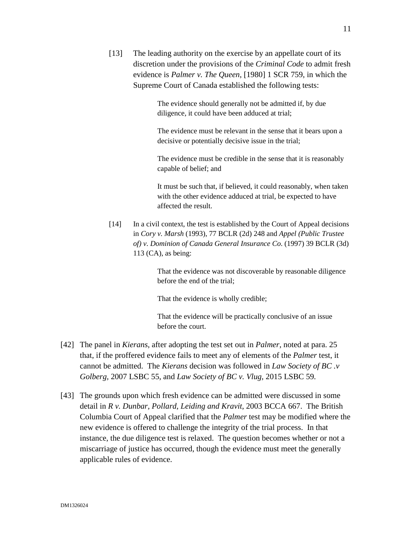[13] The leading authority on the exercise by an appellate court of its discretion under the provisions of the *Criminal Code* to admit fresh evidence is *Palmer v. The Queen*, [1980] 1 SCR 759, in which the Supreme Court of Canada established the following tests:

> The evidence should generally not be admitted if, by due diligence, it could have been adduced at trial;

The evidence must be relevant in the sense that it bears upon a decisive or potentially decisive issue in the trial;

 The evidence must be credible in the sense that it is reasonably capable of belief; and

 It must be such that, if believed, it could reasonably, when taken with the other evidence adduced at trial, be expected to have affected the result.

[14] In a civil context, the test is established by the Court of Appeal decisions in *Cory v. Marsh* (1993), 77 BCLR (2d) 248 and *Appel (Public Trustee of) v. Dominion of Canada General Insurance Co*. (1997) 39 BCLR (3d) 113 (CA), as being:

> That the evidence was not discoverable by reasonable diligence before the end of the trial;

That the evidence is wholly credible;

 That the evidence will be practically conclusive of an issue before the court.

- [42] The panel in *Kierans*, after adopting the test set out in *Palmer*, noted at para. 25 that, if the proffered evidence fails to meet any of elements of the *Palmer* test, it cannot be admitted. The *Kierans* decision was followed in *Law Society of BC .v Golberg,* 2007 LSBC 55, and *Law Society of BC v. Vlug,* 2015 LSBC 59*.*
- [43] The grounds upon which fresh evidence can be admitted were discussed in some detail in *R v. Dunbar, Pollard, Leiding and Kravit*, 2003 BCCA 667. The British Columbia Court of Appeal clarified that the *Palmer* test may be modified where the new evidence is offered to challenge the integrity of the trial process. In that instance, the due diligence test is relaxed. The question becomes whether or not a miscarriage of justice has occurred, though the evidence must meet the generally applicable rules of evidence.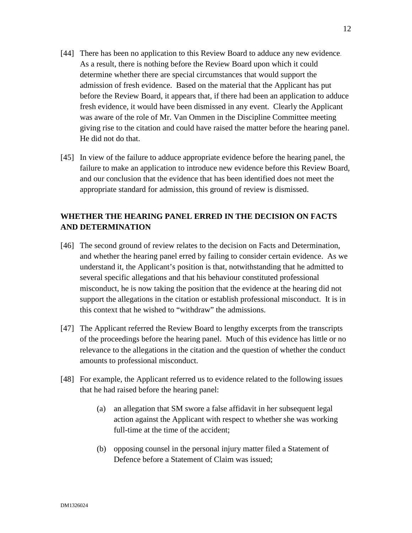- [44] There has been no application to this Review Board to adduce any new evidence. As a result, there is nothing before the Review Board upon which it could determine whether there are special circumstances that would support the admission of fresh evidence. Based on the material that the Applicant has put before the Review Board, it appears that, if there had been an application to adduce fresh evidence, it would have been dismissed in any event. Clearly the Applicant was aware of the role of Mr. Van Ommen in the Discipline Committee meeting giving rise to the citation and could have raised the matter before the hearing panel. He did not do that.
- [45] In view of the failure to adduce appropriate evidence before the hearing panel, the failure to make an application to introduce new evidence before this Review Board, and our conclusion that the evidence that has been identified does not meet the appropriate standard for admission, this ground of review is dismissed.

# **WHETHER THE HEARING PANEL ERRED IN THE DECISION ON FACTS AND DETERMINATION**

- [46] The second ground of review relates to the decision on Facts and Determination, and whether the hearing panel erred by failing to consider certain evidence. As we understand it, the Applicant's position is that, notwithstanding that he admitted to several specific allegations and that his behaviour constituted professional misconduct, he is now taking the position that the evidence at the hearing did not support the allegations in the citation or establish professional misconduct. It is in this context that he wished to "withdraw" the admissions.
- [47] The Applicant referred the Review Board to lengthy excerpts from the transcripts of the proceedings before the hearing panel. Much of this evidence has little or no relevance to the allegations in the citation and the question of whether the conduct amounts to professional misconduct.
- [48] For example, the Applicant referred us to evidence related to the following issues that he had raised before the hearing panel:
	- (a) an allegation that SM swore a false affidavit in her subsequent legal action against the Applicant with respect to whether she was working full-time at the time of the accident;
	- (b) opposing counsel in the personal injury matter filed a Statement of Defence before a Statement of Claim was issued;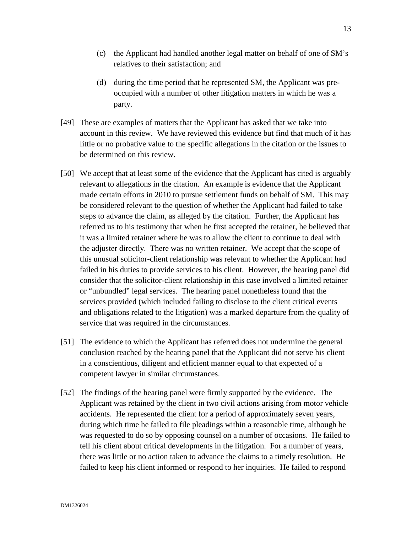- (c) the Applicant had handled another legal matter on behalf of one of SM's relatives to their satisfaction; and
- (d) during the time period that he represented SM, the Applicant was preoccupied with a number of other litigation matters in which he was a party.
- [49] These are examples of matters that the Applicant has asked that we take into account in this review. We have reviewed this evidence but find that much of it has little or no probative value to the specific allegations in the citation or the issues to be determined on this review.
- [50] We accept that at least some of the evidence that the Applicant has cited is arguably relevant to allegations in the citation. An example is evidence that the Applicant made certain efforts in 2010 to pursue settlement funds on behalf of SM. This may be considered relevant to the question of whether the Applicant had failed to take steps to advance the claim, as alleged by the citation. Further, the Applicant has referred us to his testimony that when he first accepted the retainer, he believed that it was a limited retainer where he was to allow the client to continue to deal with the adjuster directly. There was no written retainer. We accept that the scope of this unusual solicitor-client relationship was relevant to whether the Applicant had failed in his duties to provide services to his client. However, the hearing panel did consider that the solicitor-client relationship in this case involved a limited retainer or "unbundled" legal services. The hearing panel nonetheless found that the services provided (which included failing to disclose to the client critical events and obligations related to the litigation) was a marked departure from the quality of service that was required in the circumstances.
- [51] The evidence to which the Applicant has referred does not undermine the general conclusion reached by the hearing panel that the Applicant did not serve his client in a conscientious, diligent and efficient manner equal to that expected of a competent lawyer in similar circumstances.
- [52] The findings of the hearing panel were firmly supported by the evidence. The Applicant was retained by the client in two civil actions arising from motor vehicle accidents. He represented the client for a period of approximately seven years, during which time he failed to file pleadings within a reasonable time, although he was requested to do so by opposing counsel on a number of occasions. He failed to tell his client about critical developments in the litigation. For a number of years, there was little or no action taken to advance the claims to a timely resolution. He failed to keep his client informed or respond to her inquiries. He failed to respond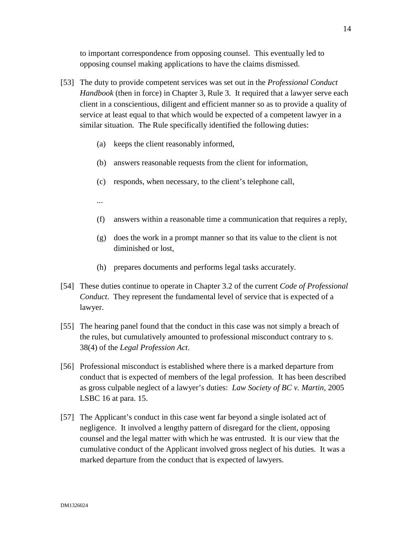to important correspondence from opposing counsel. This eventually led to opposing counsel making applications to have the claims dismissed.

- [53] The duty to provide competent services was set out in the *Professional Conduct Handbook* (then in force) in Chapter 3, Rule 3. It required that a lawyer serve each client in a conscientious, diligent and efficient manner so as to provide a quality of service at least equal to that which would be expected of a competent lawyer in a similar situation. The Rule specifically identified the following duties:
	- (a) keeps the client reasonably informed,
	- (b) answers reasonable requests from the client for information,
	- (c) responds, when necessary, to the client's telephone call,
	- ...
	- (f) answers within a reasonable time a communication that requires a reply,
	- (g) does the work in a prompt manner so that its value to the client is not diminished or lost,
	- (h) prepares documents and performs legal tasks accurately.
- [54] These duties continue to operate in Chapter 3.2 of the current *Code of Professional Conduct*. They represent the fundamental level of service that is expected of a lawyer.
- [55] The hearing panel found that the conduct in this case was not simply a breach of the rules, but cumulatively amounted to professional misconduct contrary to s. 38(4) of the *Legal Profession Act*.
- [56] Professional misconduct is established where there is a marked departure from conduct that is expected of members of the legal profession. It has been described as gross culpable neglect of a lawyer's duties: *Law Society of BC v. Martin*, 2005 LSBC 16 at para. 15.
- [57] The Applicant's conduct in this case went far beyond a single isolated act of negligence. It involved a lengthy pattern of disregard for the client, opposing counsel and the legal matter with which he was entrusted. It is our view that the cumulative conduct of the Applicant involved gross neglect of his duties. It was a marked departure from the conduct that is expected of lawyers.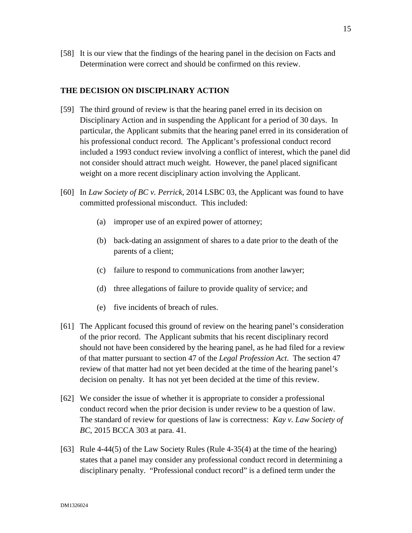[58] It is our view that the findings of the hearing panel in the decision on Facts and Determination were correct and should be confirmed on this review.

#### **THE DECISION ON DISCIPLINARY ACTION**

- [59] The third ground of review is that the hearing panel erred in its decision on Disciplinary Action and in suspending the Applicant for a period of 30 days. In particular, the Applicant submits that the hearing panel erred in its consideration of his professional conduct record. The Applicant's professional conduct record included a 1993 conduct review involving a conflict of interest, which the panel did not consider should attract much weight. However, the panel placed significant weight on a more recent disciplinary action involving the Applicant.
- [60] In *Law Society of BC v. Perrick*, 2014 LSBC 03, the Applicant was found to have committed professional misconduct. This included:
	- (a) improper use of an expired power of attorney;
	- (b) back-dating an assignment of shares to a date prior to the death of the parents of a client;
	- (c) failure to respond to communications from another lawyer;
	- (d) three allegations of failure to provide quality of service; and
	- (e) five incidents of breach of rules.
- [61] The Applicant focused this ground of review on the hearing panel's consideration of the prior record. The Applicant submits that his recent disciplinary record should not have been considered by the hearing panel, as he had filed for a review of that matter pursuant to section 47 of the *Legal Profession Act*. The section 47 review of that matter had not yet been decided at the time of the hearing panel's decision on penalty. It has not yet been decided at the time of this review.
- [62] We consider the issue of whether it is appropriate to consider a professional conduct record when the prior decision is under review to be a question of law. The standard of review for questions of law is correctness: *Kay v. Law Society of BC*, 2015 BCCA 303 at para. 41.
- [63] Rule 4-44(5) of the Law Society Rules (Rule 4-35(4) at the time of the hearing) states that a panel may consider any professional conduct record in determining a disciplinary penalty. "Professional conduct record" is a defined term under the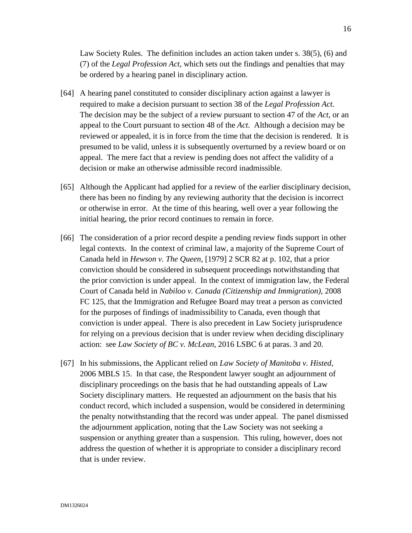Law Society Rules. The definition includes an action taken under s. 38(5), (6) and (7) of the *Legal Profession Act*, which sets out the findings and penalties that may be ordered by a hearing panel in disciplinary action.

- [64] A hearing panel constituted to consider disciplinary action against a lawyer is required to make a decision pursuant to section 38 of the *Legal Profession Act*. The decision may be the subject of a review pursuant to section 47 of the *Act*, or an appeal to the Court pursuant to section 48 of the *Act*. Although a decision may be reviewed or appealed, it is in force from the time that the decision is rendered. It is presumed to be valid, unless it is subsequently overturned by a review board or on appeal. The mere fact that a review is pending does not affect the validity of a decision or make an otherwise admissible record inadmissible.
- [65] Although the Applicant had applied for a review of the earlier disciplinary decision, there has been no finding by any reviewing authority that the decision is incorrect or otherwise in error. At the time of this hearing, well over a year following the initial hearing, the prior record continues to remain in force.
- [66] The consideration of a prior record despite a pending review finds support in other legal contexts. In the context of criminal law, a majority of the Supreme Court of Canada held in *Hewson v. The Queen*, [1979] 2 SCR 82 at p. 102, that a prior conviction should be considered in subsequent proceedings notwithstanding that the prior conviction is under appeal. In the context of immigration law, the Federal Court of Canada held in *Nabiloo v. Canada (Citizenship and Immigration)*, 2008 FC 125, that the Immigration and Refugee Board may treat a person as convicted for the purposes of findings of inadmissibility to Canada, even though that conviction is under appeal. There is also precedent in Law Society jurisprudence for relying on a previous decision that is under review when deciding disciplinary action: see *Law Society of BC v. McLean,* 2016 LSBC 6 at paras. 3 and 20.
- [67] In his submissions, the Applicant relied on *Law Society of Manitoba v. Histed*, 2006 MBLS 15. In that case, the Respondent lawyer sought an adjournment of disciplinary proceedings on the basis that he had outstanding appeals of Law Society disciplinary matters. He requested an adjournment on the basis that his conduct record, which included a suspension, would be considered in determining the penalty notwithstanding that the record was under appeal. The panel dismissed the adjournment application, noting that the Law Society was not seeking a suspension or anything greater than a suspension. This ruling, however, does not address the question of whether it is appropriate to consider a disciplinary record that is under review.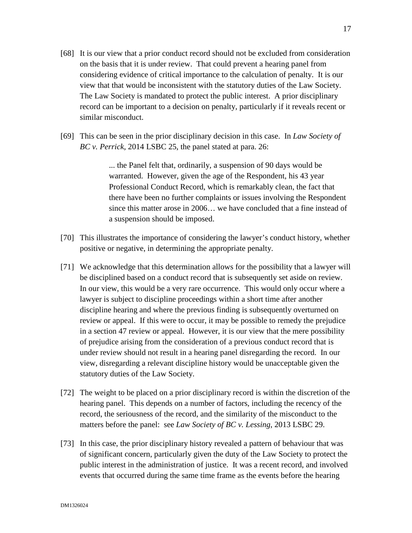- [68] It is our view that a prior conduct record should not be excluded from consideration on the basis that it is under review. That could prevent a hearing panel from considering evidence of critical importance to the calculation of penalty. It is our view that that would be inconsistent with the statutory duties of the Law Society. The Law Society is mandated to protect the public interest. A prior disciplinary record can be important to a decision on penalty, particularly if it reveals recent or similar misconduct.
- [69] This can be seen in the prior disciplinary decision in this case. In *Law Society of BC v. Perrick*, 2014 LSBC 25, the panel stated at para. 26:

... the Panel felt that, ordinarily, a suspension of 90 days would be warranted. However, given the age of the Respondent, his 43 year Professional Conduct Record, which is remarkably clean, the fact that there have been no further complaints or issues involving the Respondent since this matter arose in 2006… we have concluded that a fine instead of a suspension should be imposed.

- [70] This illustrates the importance of considering the lawyer's conduct history, whether positive or negative, in determining the appropriate penalty.
- [71] We acknowledge that this determination allows for the possibility that a lawyer will be disciplined based on a conduct record that is subsequently set aside on review. In our view, this would be a very rare occurrence. This would only occur where a lawyer is subject to discipline proceedings within a short time after another discipline hearing and where the previous finding is subsequently overturned on review or appeal. If this were to occur, it may be possible to remedy the prejudice in a section 47 review or appeal. However, it is our view that the mere possibility of prejudice arising from the consideration of a previous conduct record that is under review should not result in a hearing panel disregarding the record. In our view, disregarding a relevant discipline history would be unacceptable given the statutory duties of the Law Society.
- [72] The weight to be placed on a prior disciplinary record is within the discretion of the hearing panel. This depends on a number of factors, including the recency of the record, the seriousness of the record, and the similarity of the misconduct to the matters before the panel: see *Law Society of BC v. Lessing*, 2013 LSBC 29.
- [73] In this case, the prior disciplinary history revealed a pattern of behaviour that was of significant concern, particularly given the duty of the Law Society to protect the public interest in the administration of justice. It was a recent record, and involved events that occurred during the same time frame as the events before the hearing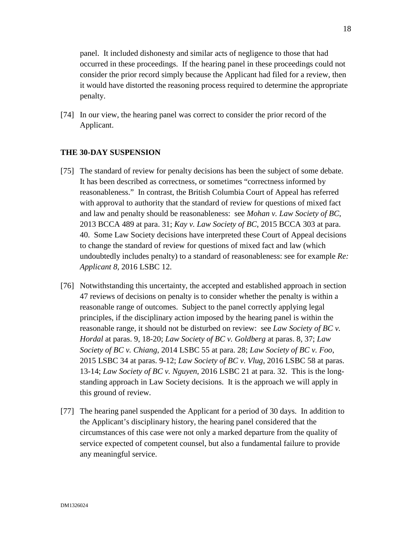panel. It included dishonesty and similar acts of negligence to those that had occurred in these proceedings. If the hearing panel in these proceedings could not consider the prior record simply because the Applicant had filed for a review, then it would have distorted the reasoning process required to determine the appropriate penalty.

[74] In our view, the hearing panel was correct to consider the prior record of the Applicant.

#### **THE 30-DAY SUSPENSION**

- [75] The standard of review for penalty decisions has been the subject of some debate. It has been described as correctness, or sometimes "correctness informed by reasonableness." In contrast, the British Columbia Court of Appeal has referred with approval to authority that the standard of review for questions of mixed fact and law and penalty should be reasonableness: see *Mohan v. Law Society of BC*, 2013 BCCA 489 at para. 31; *Kay v. Law Society of BC*, 2015 BCCA 303 at para. 40. Some Law Society decisions have interpreted these Court of Appeal decisions to change the standard of review for questions of mixed fact and law (which undoubtedly includes penalty) to a standard of reasonableness: see for example *Re: Applicant 8,* 2016 LSBC 12.
- [76] Notwithstanding this uncertainty, the accepted and established approach in section 47 reviews of decisions on penalty is to consider whether the penalty is within a reasonable range of outcomes. Subject to the panel correctly applying legal principles, if the disciplinary action imposed by the hearing panel is within the reasonable range, it should not be disturbed on review: see *Law Society of BC v. Hordal* at paras. 9, 18-20; *Law Society of BC v. Goldberg* at paras. 8, 37; *Law Society of BC v. Chiang*, 2014 LSBC 55 at para. 28; *Law Society of BC v. Foo*, 2015 LSBC 34 at paras. 9-12; *Law Society of BC v. Vlug*, 2016 LSBC 58 at paras. 13-14; *Law Society of BC v. Nguyen*, 2016 LSBC 21 at para. 32. This is the longstanding approach in Law Society decisions. It is the approach we will apply in this ground of review.
- [77] The hearing panel suspended the Applicant for a period of 30 days. In addition to the Applicant's disciplinary history, the hearing panel considered that the circumstances of this case were not only a marked departure from the quality of service expected of competent counsel, but also a fundamental failure to provide any meaningful service.